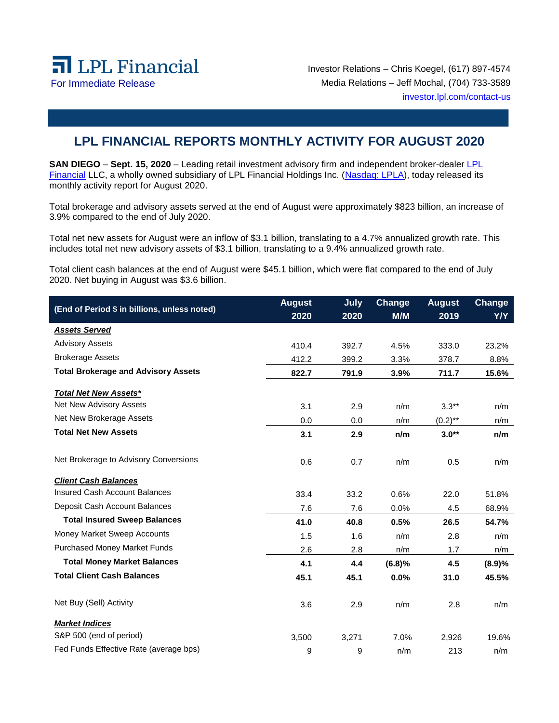

Investor Relations – Chris Koegel, (617) 897-4574 For Immediate Release Media Relations – Jeff Mochal, (704) 733-3589 [investor.lpl.com/contact-us](https://investor.lpl.com/contact-us)

## **LPL FINANCIAL REPORTS MONTHLY ACTIVITY FOR AUGUST 2020**

**SAN DIEGO** – Sept. 15, 2020 – Leading retail investment advisory firm and independent broker-dealer LPL [Financial](https://www.lpl.com/) LLC, a wholly owned subsidiary of LPL Financial Holdings Inc. [\(Nasdaq: LPLA\)](https://www.nasdaq.com/symbol/lpla), today released its monthly activity report for August 2020.

Total brokerage and advisory assets served at the end of August were approximately \$823 billion, an increase of 3.9% compared to the end of July 2020.

Total net new assets for August were an inflow of \$3.1 billion, translating to a 4.7% annualized growth rate. This includes total net new advisory assets of \$3.1 billion, translating to a 9.4% annualized growth rate.

Total client cash balances at the end of August were \$45.1 billion, which were flat compared to the end of July 2020. Net buying in August was \$3.6 billion.

| (End of Period \$ in billions, unless noted) | <b>August</b> | <b>July</b> | Change | <b>August</b> | Change |
|----------------------------------------------|---------------|-------------|--------|---------------|--------|
|                                              | 2020          | 2020        | M/M    | 2019          | Y/Y    |
| <b>Assets Served</b>                         |               |             |        |               |        |
| <b>Advisory Assets</b>                       | 410.4         | 392.7       | 4.5%   | 333.0         | 23.2%  |
| <b>Brokerage Assets</b>                      | 412.2         | 399.2       | 3.3%   | 378.7         | 8.8%   |
| <b>Total Brokerage and Advisory Assets</b>   | 822.7         | 791.9       | 3.9%   | 711.7         | 15.6%  |
| <b>Total Net New Assets*</b>                 |               |             |        |               |        |
| Net New Advisory Assets                      | 3.1           | 2.9         | n/m    | $3.3**$       | n/m    |
| Net New Brokerage Assets                     | 0.0           | 0.0         | n/m    | $(0.2)$ **    | n/m    |
| <b>Total Net New Assets</b>                  | 3.1           | 2.9         | n/m    | $3.0**$       | n/m    |
| Net Brokerage to Advisory Conversions        | 0.6           | 0.7         | n/m    | 0.5           | n/m    |
| <b>Client Cash Balances</b>                  |               |             |        |               |        |
| <b>Insured Cash Account Balances</b>         | 33.4          | 33.2        | 0.6%   | 22.0          | 51.8%  |
| Deposit Cash Account Balances                | 7.6           | 7.6         | 0.0%   | 4.5           | 68.9%  |
| <b>Total Insured Sweep Balances</b>          | 41.0          | 40.8        | 0.5%   | 26.5          | 54.7%  |
| Money Market Sweep Accounts                  | 1.5           | 1.6         | n/m    | 2.8           | n/m    |
| <b>Purchased Money Market Funds</b>          | 2.6           | 2.8         | n/m    | 1.7           | n/m    |
| <b>Total Money Market Balances</b>           | 4.1           | 4.4         | (6.8)% | 4.5           | (8.9)% |
| <b>Total Client Cash Balances</b>            | 45.1          | 45.1        | 0.0%   | 31.0          | 45.5%  |
| Net Buy (Sell) Activity                      | 3.6           | 2.9         | n/m    | 2.8           | n/m    |
| <b>Market Indices</b>                        |               |             |        |               |        |
| S&P 500 (end of period)                      | 3,500         | 3,271       | 7.0%   | 2,926         | 19.6%  |
| Fed Funds Effective Rate (average bps)       | 9             | 9           | n/m    | 213           | n/m    |